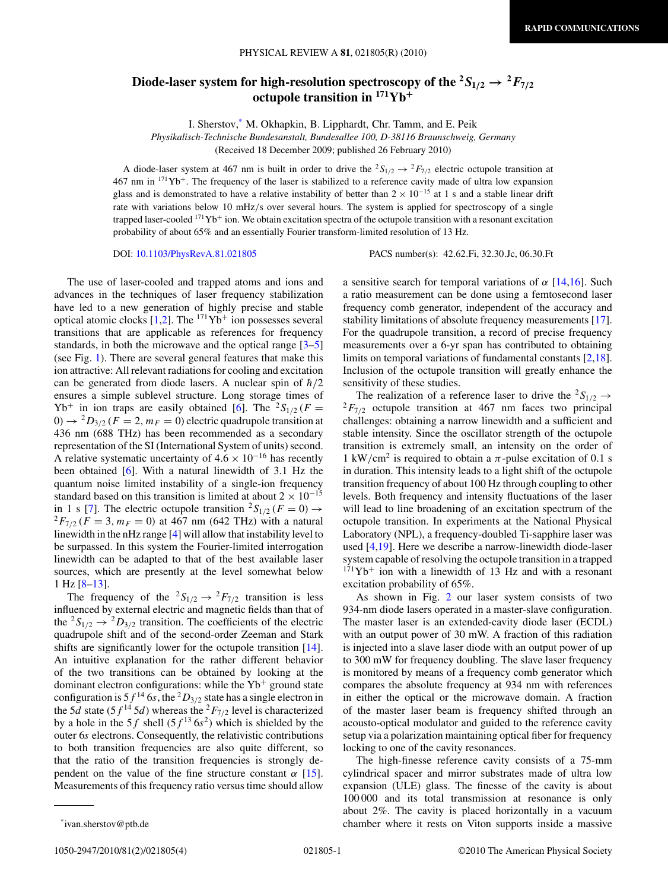## Diode-laser system for high-resolution spectroscopy of the  ${}^2S_{1/2} \rightarrow {}^2F_{7/2}$ **octupole transition in 171Yb<sup>+</sup>**

I. Sherstov,\* M. Okhapkin, B. Lipphardt, Chr. Tamm, and E. Peik

*Physikalisch-Technische Bundesanstalt, Bundesallee 100, D-38116 Braunschweig, Germany*

(Received 18 December 2009; published 26 February 2010)

A diode-laser system at 467 nm is built in order to drive the  ${}^2S_{1/2} \rightarrow {}^2F_{7/2}$  electric octupole transition at  $467$  nm in  $171\text{Yb}^+$ . The frequency of the laser is stabilized to a reference cavity made of ultra low expansion glass and is demonstrated to have a relative instability of better than  $2 \times 10^{-15}$  at 1 s and a stable linear drift rate with variations below 10 mHz*/*s over several hours. The system is applied for spectroscopy of a single trapped laser-cooled  $171\text{Yb}$ + ion. We obtain excitation spectra of the octupole transition with a resonant excitation probability of about 65% and an essentially Fourier transform-limited resolution of 13 Hz.

DOI: [10.1103/PhysRevA.81.021805](http://dx.doi.org/10.1103/PhysRevA.81.021805) PACS number(s): 42*.*62*.*Fi, 32*.*30*.*Jc, 06*.*30*.*Ft

The use of laser-cooled and trapped atoms and ions and advances in the techniques of laser frequency stabilization have led to a new generation of highly precise and stable optical atomic clocks [\[1,2\]](#page-3-0). The  $171\text{Yb}^+$  ion possesses several transitions that are applicable as references for frequency standards, in both the microwave and the optical range [\[3–5\]](#page-3-0) (see Fig. [1\)](#page-1-0). There are several general features that make this ion attractive: All relevant radiations for cooling and excitation can be generated from diode lasers. A nuclear spin of  $\hbar/2$ ensures a simple sublevel structure. Long storage times of  $Yb^+$  in ion traps are easily obtained [\[6\]](#page-3-0). The <sup>2</sup>S<sub>1/2</sub> (*F* =  $0 \rightarrow {}^{2}D_{3/2}$  ( $F = 2$ ,  $m_F = 0$ ) electric quadrupole transition at 436 nm (688 THz) has been recommended as a secondary representation of the SI (International System of units) second. A relative systematic uncertainty of  $4.6 \times 10^{-16}$  has recently been obtained [\[6\]](#page-3-0). With a natural linewidth of 3.1 Hz the quantum noise limited instability of a single-ion frequency standard based on this transition is limited at about  $2 \times 10^{-15}$ <br>in 1 s [7]. The electric octupole transition  ${}^{2}S_{1/2}$  ( $F = 0$ )  $\rightarrow$  $^{2}F_{7/2}$  (*F* = 3*, m<sub>F</sub>* = 0) at 467 nm (642 THz) with a natural linewidth in the nHz range [\[4\]](#page-3-0) will allow that instability level to be surpassed. In this system the Fourier-limited interrogation linewidth can be adapted to that of the best available laser sources, which are presently at the level somewhat below 1 Hz [\[8–13\]](#page-3-0).

The frequency of the  ${}^2S_{1/2} \rightarrow {}^2F_{7/2}$  transition is less influenced by external electric and magnetic fields than that of the <sup>2</sup>S<sub>1/2</sub>  $\rightarrow$  <sup>2</sup>D<sub>3/2</sub> transition. The coefficients of the electric quadrupole shift and of the second-order Zeeman and Stark shifts are significantly lower for the octupole transition [\[14\]](#page-3-0). An intuitive explanation for the rather different behavior of the two transitions can be obtained by looking at the dominant electron configurations: while the  $Yb^+$  ground state configuration is  $5f^{14}$  6*s*, the <sup>2</sup> $D_{3/2}$  state has a single electron in the 5*d* state (5 $f^{14}$  5*d*) whereas the <sup>2</sup> $F_{7/2}$  level is characterized by a hole in the 5*f* shell  $(5f^{13} 6s^2)$  which is shielded by the outer 6*s* electrons. Consequently, the relativistic contributions to both transition frequencies are also quite different, so that the ratio of the transition frequencies is strongly dependent on the value of the fine structure constant  $\alpha$  [\[15\]](#page-3-0). Measurements of this frequency ratio versus time should allow a sensitive search for temporal variations of *α* [\[14,16\]](#page-3-0). Such a ratio measurement can be done using a femtosecond laser frequency comb generator, independent of the accuracy and stability limitations of absolute frequency measurements [\[17\]](#page-3-0). For the quadrupole transition, a record of precise frequency measurements over a 6-yr span has contributed to obtaining limits on temporal variations of fundamental constants [\[2,18\]](#page-3-0). Inclusion of the octupole transition will greatly enhance the sensitivity of these studies.

The realization of a reference laser to drive the  ${}^2S_{1/2} \rightarrow {}^2F_{7/2}$  octupole transition at 467 nm faces two principal challenges: obtaining a narrow linewidth and a sufficient and stable intensity. Since the oscillator strength of the octupole transition is extremely small, an intensity on the order of 1 kW/cm<sup>2</sup> is required to obtain a  $\pi$ -pulse excitation of 0.1 s in duration. This intensity leads to a light shift of the octupole transition frequency of about 100 Hz through coupling to other levels. Both frequency and intensity fluctuations of the laser will lead to line broadening of an excitation spectrum of the octupole transition. In experiments at the National Physical Laboratory (NPL), a frequency-doubled Ti-sapphire laser was used [\[4,19\]](#page-3-0). Here we describe a narrow-linewidth diode-laser system capable of resolving the octupole transition in a trapped  $171\text{Yb}^+$  ion with a linewidth of 13 Hz and with a resonant excitation probability of 65%.

As shown in Fig. [2](#page-1-0) our laser system consists of two 934-nm diode lasers operated in a master-slave configuration. The master laser is an extended-cavity diode laser (ECDL) with an output power of 30 mW. A fraction of this radiation is injected into a slave laser diode with an output power of up to 300 mW for frequency doubling. The slave laser frequency is monitored by means of a frequency comb generator which compares the absolute frequency at 934 nm with references in either the optical or the microwave domain. A fraction of the master laser beam is frequency shifted through an acousto-optical modulator and guided to the reference cavity setup via a polarization maintaining optical fiber for frequency locking to one of the cavity resonances.

The high-finesse reference cavity consists of a 75-mm cylindrical spacer and mirror substrates made of ultra low expansion (ULE) glass. The finesse of the cavity is about 100 000 and its total transmission at resonance is only about 2%. The cavity is placed horizontally in a vacuum chamber where it rests on Viton supports inside a massive

<sup>\*</sup>ivan.sherstov@ptb.de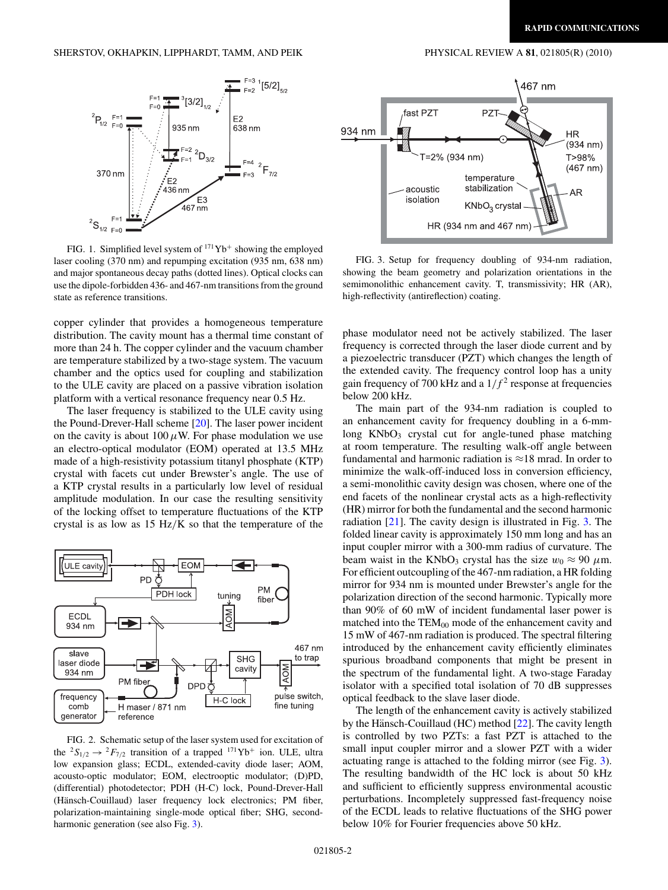<span id="page-1-0"></span>

FIG. 1. Simplified level system of  $171\text{Yb}^+$  showing the employed laser cooling (370 nm) and repumping excitation (935 nm, 638 nm) and major spontaneous decay paths (dotted lines). Optical clocks can use the dipole-forbidden 436- and 467-nm transitions from the ground state as reference transitions.

copper cylinder that provides a homogeneous temperature distribution. The cavity mount has a thermal time constant of more than 24 h. The copper cylinder and the vacuum chamber are temperature stabilized by a two-stage system. The vacuum chamber and the optics used for coupling and stabilization to the ULE cavity are placed on a passive vibration isolation platform with a vertical resonance frequency near 0.5 Hz.

The laser frequency is stabilized to the ULE cavity using the Pound-Drever-Hall scheme [\[20\]](#page-3-0). The laser power incident on the cavity is about  $100 \mu$ W. For phase modulation we use an electro-optical modulator (EOM) operated at 13.5 MHz made of a high-resistivity potassium titanyl phosphate (KTP) crystal with facets cut under Brewster's angle. The use of a KTP crystal results in a particularly low level of residual amplitude modulation. In our case the resulting sensitivity of the locking offset to temperature fluctuations of the KTP crystal is as low as 15 Hz*/*K so that the temperature of the



FIG. 2. Schematic setup of the laser system used for excitation of the <sup>2</sup> $S_{1/2} \rightarrow {}^2F_{7/2}$  transition of a trapped <sup>171</sup>Yb<sup>+</sup> ion. ULE, ultra low expansion glass; ECDL, extended-cavity diode laser; AOM, acousto-optic modulator; EOM, electrooptic modulator; (D)PD, (differential) photodetector; PDH (H-C) lock, Pound-Drever-Hall (Hänsch-Couillaud) laser frequency lock electronics; PM fiber, polarization-maintaining single-mode optical fiber; SHG, secondharmonic generation (see also Fig. 3).



FIG. 3. Setup for frequency doubling of 934-nm radiation, showing the beam geometry and polarization orientations in the semimonolithic enhancement cavity. T, transmissivity; HR (AR), high-reflectivity (antireflection) coating.

phase modulator need not be actively stabilized. The laser frequency is corrected through the laser diode current and by a piezoelectric transducer (PZT) which changes the length of the extended cavity. The frequency control loop has a unity gain frequency of 700 kHz and a  $1/f<sup>2</sup>$  response at frequencies below 200 kHz.

The main part of the 934-nm radiation is coupled to an enhancement cavity for frequency doubling in a 6-mmlong  $KNbO<sub>3</sub>$  crystal cut for angle-tuned phase matching at room temperature. The resulting walk-off angle between fundamental and harmonic radiation is  $\approx$ 18 mrad. In order to minimize the walk-off-induced loss in conversion efficiency, a semi-monolithic cavity design was chosen, where one of the end facets of the nonlinear crystal acts as a high-reflectivity (HR) mirror for both the fundamental and the second harmonic radiation [\[21\]](#page-3-0). The cavity design is illustrated in Fig. 3. The folded linear cavity is approximately 150 mm long and has an input coupler mirror with a 300-mm radius of curvature. The beam waist in the KNbO<sub>3</sub> crystal has the size  $w_0 \approx 90 \ \mu \text{m}$ . For efficient outcoupling of the 467-nm radiation, a HR folding mirror for 934 nm is mounted under Brewster's angle for the polarization direction of the second harmonic. Typically more than 90% of 60 mW of incident fundamental laser power is matched into the  $TEM_{00}$  mode of the enhancement cavity and 15 mW of 467-nm radiation is produced. The spectral filtering introduced by the enhancement cavity efficiently eliminates spurious broadband components that might be present in the spectrum of the fundamental light. A two-stage Faraday isolator with a specified total isolation of 70 dB suppresses optical feedback to the slave laser diode.

The length of the enhancement cavity is actively stabilized by the Hänsch-Couillaud (HC) method  $[22]$  $[22]$ . The cavity length is controlled by two PZTs: a fast PZT is attached to the small input coupler mirror and a slower PZT with a wider actuating range is attached to the folding mirror (see Fig. 3). The resulting bandwidth of the HC lock is about 50 kHz and sufficient to efficiently suppress environmental acoustic perturbations. Incompletely suppressed fast-frequency noise of the ECDL leads to relative fluctuations of the SHG power below 10% for Fourier frequencies above 50 kHz.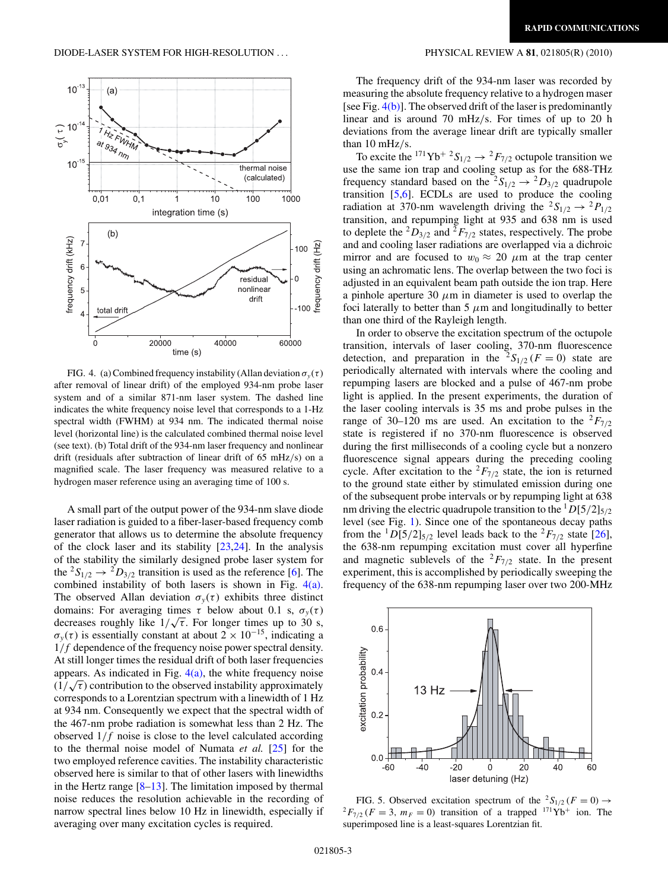<span id="page-2-0"></span>

FIG. 4. (a) Combined frequency instability (Allan deviation  $\sigma_y(\tau)$ after removal of linear drift) of the employed 934-nm probe laser system and of a similar 871-nm laser system. The dashed line indicates the white frequency noise level that corresponds to a 1-Hz spectral width (FWHM) at 934 nm. The indicated thermal noise level (horizontal line) is the calculated combined thermal noise level (see text). (b) Total drift of the 934-nm laser frequency and nonlinear drift (residuals after subtraction of linear drift of 65 mHz*/*s) on a magnified scale. The laser frequency was measured relative to a hydrogen maser reference using an averaging time of 100 s.

A small part of the output power of the 934-nm slave diode laser radiation is guided to a fiber-laser-based frequency comb generator that allows us to determine the absolute frequency of the clock laser and its stability  $[23,24]$ . In the analysis of the stability the similarly designed probe laser system for the <sup>2</sup> $S_{1/2} \rightarrow {}^2D_{3/2}$  transition is used as the reference [\[6\]](#page-3-0). The combined instability of both lasers is shown in Fig. 4(a). The observed Allan deviation  $\sigma_{\nu}(\tau)$  exhibits three distinct domains: For averaging times  $\tau$  below about 0.1 s,  $\sigma_y(\tau)$ decreases roughly like  $1/\sqrt{\tau}$ . For longer times up to 30 s,  $\sigma_y(\tau)$  is essentially constant at about  $2 \times 10^{-15}$ , indicating a 1*/f* dependence of the frequency noise power spectral density. At still longer times the residual drift of both laser frequencies appears. As indicated in Fig.  $4(a)$ , the white frequency noise  $(1/\sqrt{\tau})$  contribution to the observed instability approximately corresponds to a Lorentzian spectrum with a linewidth of 1 Hz at 934 nm. Consequently we expect that the spectral width of the 467-nm probe radiation is somewhat less than 2 Hz. The observed 1*/f* noise is close to the level calculated according to the thermal noise model of Numata *et al.* [\[25\]](#page-3-0) for the two employed reference cavities. The instability characteristic observed here is similar to that of other lasers with linewidths in the Hertz range  $[8-13]$ . The limitation imposed by thermal noise reduces the resolution achievable in the recording of narrow spectral lines below 10 Hz in linewidth, especially if averaging over many excitation cycles is required.

The frequency drift of the 934-nm laser was recorded by measuring the absolute frequency relative to a hydrogen maser [see Fig.  $4(b)$ ]. The observed drift of the laser is predominantly linear and is around 70 mHz*/*s. For times of up to 20 h deviations from the average linear drift are typically smaller than 10 mHz*/*s.

To excite the <sup>171</sup>Yb<sup>+2</sup>S<sub>1/2</sub>  $\rightarrow$ <sup>2</sup>F<sub>7/2</sub> octupole transition we use the same ion trap and cooling setup as for the 688-THz frequency standard based on the  ${}^2S_{1/2} \rightarrow {}^2D_{3/2}$  quadrupole transition [\[5,6\]](#page-3-0). ECDLs are used to produce the cooling radiation at 370-nm wavelength driving the  ${}^2S_{1/2} \rightarrow {}^2P_{1/2}$ transition, and repumping light at 935 and 638 nm is used to deplete the  ${}^{2}D_{3/2}$  and  ${}^{2}F_{7/2}$  states, respectively. The probe and and cooling laser radiations are overlapped via a dichroic mirror and are focused to  $w_0 \approx 20 \mu m$  at the trap center using an achromatic lens. The overlap between the two foci is adjusted in an equivalent beam path outside the ion trap. Here a pinhole aperture 30  $\mu$ m in diameter is used to overlap the foci laterally to better than  $5 \mu m$  and longitudinally to better than one third of the Rayleigh length.

In order to observe the excitation spectrum of the octupole transition, intervals of laser cooling, 370-nm fluorescence detection, and preparation in the  ${}^{2}S_{1/2}$  (*F* = 0) state are periodically alternated with intervals where the cooling and repumping lasers are blocked and a pulse of 467-nm probe light is applied. In the present experiments, the duration of the laser cooling intervals is 35 ms and probe pulses in the range of 30–120 ms are used. An excitation to the  ${}^{2}F_{7/2}$ state is registered if no 370-nm fluorescence is observed during the first milliseconds of a cooling cycle but a nonzero fluorescence signal appears during the preceding cooling cycle. After excitation to the  ${}^{2}F_{7/2}$  state, the ion is returned to the ground state either by stimulated emission during one of the subsequent probe intervals or by repumping light at 638 nm driving the electric quadrupole transition to the  ${}^{1}D[5/2]_{5/2}$ level (see Fig. [1\)](#page-1-0). Since one of the spontaneous decay paths from the <sup>1</sup>D[5/2]<sub>5/2</sub> level leads back to the <sup>2</sup> $F_{7/2}$  state [\[26\]](#page-3-0), the 638-nm repumping excitation must cover all hyperfine and magnetic sublevels of the  ${}^{2}F_{7/2}$  state. In the present experiment, this is accomplished by periodically sweeping the frequency of the 638-nm repumping laser over two 200-MHz



FIG. 5. Observed excitation spectrum of the <sup>2</sup>S<sub>1/2</sub> ( $F = 0$ )  $\rightarrow$  <sup>2</sup> $F_{7/2}$  ( $F = 3$ ,  $m_F = 0$ ) transition of a trapped <sup>171</sup>Yb<sup>+</sup> ion. The superimposed line is a least-squares Lorentzian fit.